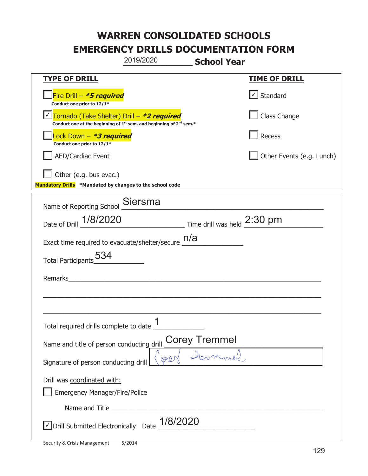|                                                                                    | 2019/2020                                                                                   | <b>School Year</b>                                   |                           |
|------------------------------------------------------------------------------------|---------------------------------------------------------------------------------------------|------------------------------------------------------|---------------------------|
| <b>TYPE OF DRILL</b>                                                               |                                                                                             |                                                      | <b>TIME OF DRILL</b>      |
| Fire Drill - *5 required<br>Conduct one prior to 12/1*                             |                                                                                             |                                                      | $\lfloor$ Standard        |
| Tornado (Take Shelter) Drill – *2 required                                         | Conduct one at the beginning of 1 <sup>st</sup> sem. and beginning of 2 <sup>nd</sup> sem.* |                                                      | Class Change              |
| Lock Down - <b>*3 required</b><br>Conduct one prior to 12/1*                       |                                                                                             |                                                      | <b>Recess</b>             |
| <b>AED/Cardiac Event</b>                                                           |                                                                                             |                                                      | Other Events (e.g. Lunch) |
| Other (e.g. bus evac.)<br>Mandatory Drills *Mandated by changes to the school code |                                                                                             |                                                      |                           |
| Name of Reporting School                                                           | Siersma                                                                                     |                                                      |                           |
| Date of Drill 1/8/2020                                                             |                                                                                             | $\_$ Time drill was held $\frac{2:30 \text{ pm}}{1}$ |                           |
| Exact time required to evacuate/shelter/secure $\underline{\hspace{1em} n/a}$      |                                                                                             |                                                      |                           |
| <b>Total Participants</b>                                                          |                                                                                             |                                                      |                           |
| Remarks                                                                            |                                                                                             |                                                      |                           |
|                                                                                    |                                                                                             |                                                      |                           |
| Total required drills complete to date _ L                                         | 1                                                                                           |                                                      |                           |
| Name and title of person conducting drill                                          |                                                                                             | <b>Corey Tremmel</b>                                 |                           |
| Signature of person conducting drill                                               | PQ                                                                                          |                                                      |                           |
| Drill was coordinated with:<br><b>Emergency Manager/Fire/Police</b>                |                                                                                             |                                                      |                           |
|                                                                                    |                                                                                             |                                                      |                           |
| √ Drill Submitted Electronically Date                                              | 1/8/2020                                                                                    |                                                      |                           |

T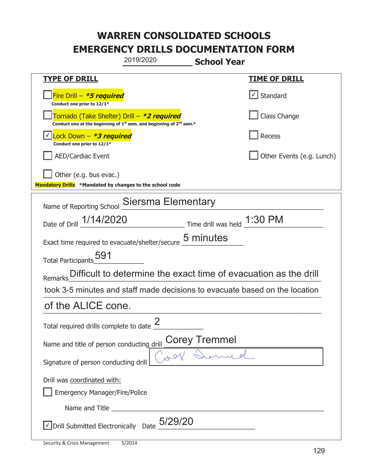| 2019/2020                                                                                                                   | <b>School Year</b>                                       |
|-----------------------------------------------------------------------------------------------------------------------------|----------------------------------------------------------|
| <u>TYPE OF DRILL</u>                                                                                                        | <b>TIME OF DRILL</b>                                     |
| Fire Drill - *5 required<br>Conduct one prior to 12/1*                                                                      | $\lfloor \angle \rfloor$ Standard                        |
| Tornado (Take Shelter) Drill – *2 required<br>Conduct one at the beginning of $1^{st}$ sem. and beginning of $2^{nd}$ sem.* | Class Change                                             |
| Conduct one prior to 12/1*                                                                                                  | Recess                                                   |
| <b>AED/Cardiac Event</b>                                                                                                    | Other Events (e.g. Lunch)                                |
| Other (e.g. bus evac.)<br>Mandatory Drills *Mandated by changes to the school code                                          |                                                          |
| Siersma Elementary<br>Name of Reporting School                                                                              |                                                          |
| Date of Drill 1/14/2020                                                                                                     | $\equiv$ Time drill was held $\frac{1:30 \text{ PM}}{4}$ |
| Exact time required to evacuate/shelter/secure 5 minutes                                                                    |                                                          |
| Total Participants <sub>_0</sub> 591                                                                                        |                                                          |
| Remarks Difficult to determine the exact time of evacuation as the drill                                                    |                                                          |
| took 3-5 minutes and staff made decisions to evacuate based on the location                                                 |                                                          |
| of the ALICE cone.                                                                                                          |                                                          |
| ク<br>Total required drills complete to date $\leq$                                                                          |                                                          |
| Name and title of person conducting drill                                                                                   | Corey Tremmel                                            |
| Signature of person conducting drill                                                                                        |                                                          |
| Drill was coordinated with:<br><b>Emergency Manager/Fire/Police</b>                                                         |                                                          |
|                                                                                                                             |                                                          |
| $\sqrt{}$ Drill Submitted Electronically Date $_0$ 5/29/20                                                                  |                                                          |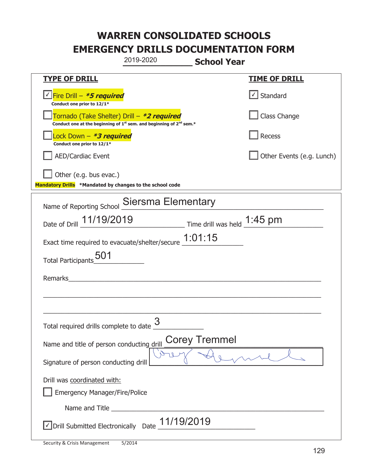|                                                                                                                                           | 2019-2020                 | <b>School Year</b>                                                        |                                   |
|-------------------------------------------------------------------------------------------------------------------------------------------|---------------------------|---------------------------------------------------------------------------|-----------------------------------|
| <b>TYPE OF DRILL</b>                                                                                                                      |                           |                                                                           | <b>TIME OF DRILL</b>              |
| <u> √ Fire Drill – <i>*5 required</i></u><br>Conduct one prior to 12/1*                                                                   |                           |                                                                           | $\lfloor \angle \rfloor$ Standard |
| Tornado (Take Shelter) Drill – *2 required<br>Conduct one at the beginning of 1 <sup>st</sup> sem. and beginning of 2 <sup>nd</sup> sem.* |                           |                                                                           | Class Change                      |
| Lock Down - *3 required<br>Conduct one prior to 12/1*                                                                                     |                           |                                                                           | Recess                            |
| <b>AED/Cardiac Event</b>                                                                                                                  |                           |                                                                           | Other Events (e.g. Lunch)         |
| Other (e.g. bus evac.)<br>Mandatory Drills *Mandated by changes to the school code                                                        |                           |                                                                           |                                   |
| Name of Reporting School                                                                                                                  | <b>Siersma Elementary</b> |                                                                           |                                   |
| Date of Drill 11/19/2019                                                                                                                  |                           | $\frac{1:45 \text{ pm}}{}$ Time drill was held $\frac{1:45 \text{ pm}}{}$ |                                   |
| Exact time required to evacuate/shelter/secure 1:01:15                                                                                    |                           |                                                                           |                                   |
| <b>Total Participants</b>                                                                                                                 |                           |                                                                           |                                   |
| Remarks                                                                                                                                   |                           |                                                                           |                                   |
|                                                                                                                                           |                           |                                                                           |                                   |
|                                                                                                                                           |                           |                                                                           |                                   |
| Total required drills complete to date <u>U</u>                                                                                           |                           |                                                                           |                                   |
| Name and title of person conducting drill                                                                                                 |                           | <b>Corey Tremmel</b>                                                      |                                   |
| Signature of person conducting drill                                                                                                      |                           |                                                                           |                                   |
| Drill was coordinated with:                                                                                                               |                           |                                                                           |                                   |
| <b>Emergency Manager/Fire/Police</b>                                                                                                      |                           |                                                                           |                                   |
|                                                                                                                                           |                           |                                                                           |                                   |
| √ Drill Submitted Electronically Date                                                                                                     |                           | 11/19/2019                                                                |                                   |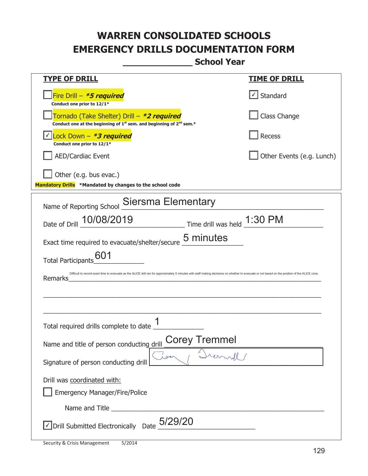**\_\_\_\_\_\_\_\_\_\_\_\_\_ School Year** 

| <u>TYPE OF DRILL</u>                                                                                                                                                                                        | <u>TIME OF DRILL</u>      |  |
|-------------------------------------------------------------------------------------------------------------------------------------------------------------------------------------------------------------|---------------------------|--|
| Fire Drill - *5 required<br>Conduct one prior to 12/1*                                                                                                                                                      | $\cup$ Standard           |  |
| Fornado (Take Shelter) Drill – *2 required<br>Conduct one at the beginning of 1 <sup>st</sup> sem. and beginning of 2 <sup>nd</sup> sem.*                                                                   | Class Change              |  |
| Lock Down - *3 required<br>Conduct one prior to 12/1*                                                                                                                                                       | Recess                    |  |
| <b>AED/Cardiac Event</b>                                                                                                                                                                                    | Other Events (e.g. Lunch) |  |
| Other (e.g. bus evac.)<br>Mandatory Drills *Mandated by changes to the school code                                                                                                                          |                           |  |
| Name of Reporting School Siersma Elementary                                                                                                                                                                 |                           |  |
| Date of Drill 10/08/2019<br>$\frac{1:30 \text{ PM}}{2}$ Time drill was held $\frac{1:30 \text{ PM}}{2}$                                                                                                     |                           |  |
| Exact time required to evacuate/shelter/secure 5 minutes                                                                                                                                                    |                           |  |
| 601<br><b>Total Participants</b>                                                                                                                                                                            |                           |  |
| Difficult to record exact time to evacuate as the ALICE drill ran for approximately 5 minutes with staff making decisions on whether to evacuate or not based on the position of the ALICE cone.<br>Remarks |                           |  |
|                                                                                                                                                                                                             |                           |  |
| Total required drills complete to date                                                                                                                                                                      |                           |  |
| <b>Corey Tremmel</b><br>Name and title of person conducting drill                                                                                                                                           |                           |  |
| per<br>Signature of person conducting drill                                                                                                                                                                 |                           |  |
| Drill was coordinated with:<br><b>Emergency Manager/Fire/Police</b>                                                                                                                                         |                           |  |
|                                                                                                                                                                                                             |                           |  |
| $\vee$ Drill Submitted Electronically Date $_0$ 5/29/20                                                                                                                                                     |                           |  |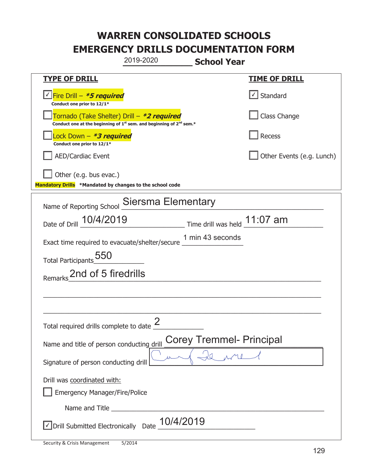|                                                                                    | 2019-2020                                                                                   | <b>School Year</b>              |                           |
|------------------------------------------------------------------------------------|---------------------------------------------------------------------------------------------|---------------------------------|---------------------------|
| <b>TYPE OF DRILL</b>                                                               |                                                                                             |                                 | <u>TIME OF DRILL</u>      |
| √Fire Drill – <b>*5 required</b><br>Conduct one prior to 12/1*                     |                                                                                             |                                 | Standard                  |
| Tornado (Take Shelter) Drill – *2 required                                         | Conduct one at the beginning of 1 <sup>st</sup> sem. and beginning of 2 <sup>nd</sup> sem.* |                                 | Class Change              |
| ock Down – <b>*3 required</b><br>Conduct one prior to 12/1*                        |                                                                                             |                                 | <b>Recess</b>             |
| AED/Cardiac Event                                                                  |                                                                                             |                                 | Other Events (e.g. Lunch) |
| Other (e.g. bus evac.)<br>Mandatory Drills *Mandated by changes to the school code |                                                                                             |                                 |                           |
| Name of Reporting School Siersma Elementary                                        |                                                                                             |                                 |                           |
| Date of Drill 10/4/2019 Time drill was held 11:07 am                               |                                                                                             |                                 |                           |
| Exact time required to evacuate/shelter/secure 1 min 43 seconds                    |                                                                                             |                                 |                           |
| Total Participants 550                                                             |                                                                                             |                                 |                           |
| 2nd of 5 firedrills<br>Remarks                                                     |                                                                                             |                                 |                           |
|                                                                                    |                                                                                             |                                 |                           |
|                                                                                    |                                                                                             |                                 |                           |
| Total required drills complete to date $\frac{2}{3}$                               |                                                                                             |                                 |                           |
| Name and title of person conducting drill                                          |                                                                                             | <b>Corey Tremmel- Principal</b> |                           |
| Signature of person conducting drill                                               |                                                                                             | $Q_{\rm M1}$                    |                           |
| Drill was coordinated with:<br><b>Emergency Manager/Fire/Police</b>                |                                                                                             |                                 |                           |
|                                                                                    |                                                                                             |                                 |                           |
| Drill Submitted Electronically Date                                                | 10/4/2019                                                                                   |                                 |                           |

t